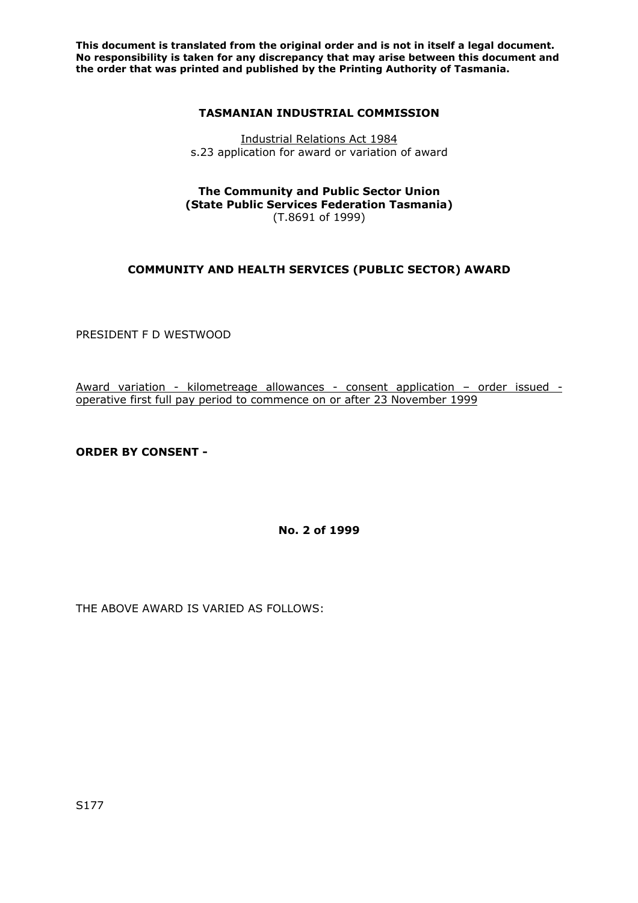**This document is translated from the original order and is not in itself a legal document. No responsibility is taken for any discrepancy that may arise between this document and the order that was printed and published by the Printing Authority of Tasmania.** 

### **TASMANIAN INDUSTRIAL COMMISSION**

Industrial Relations Act 1984 s.23 application for award or variation of award

#### **The Community and Public Sector Union (State Public Services Federation Tasmania)**  (T.8691 of 1999)

## **COMMUNITY AND HEALTH SERVICES (PUBLIC SECTOR) AWARD**

PRESIDENT F D WESTWOOD

Award variation - kilometreage allowances - consent application - order issued operative first full pay period to commence on or after 23 November 1999

**ORDER BY CONSENT -** 

**No. 2 of 1999** 

THE ABOVE AWARD IS VARIED AS FOLLOWS: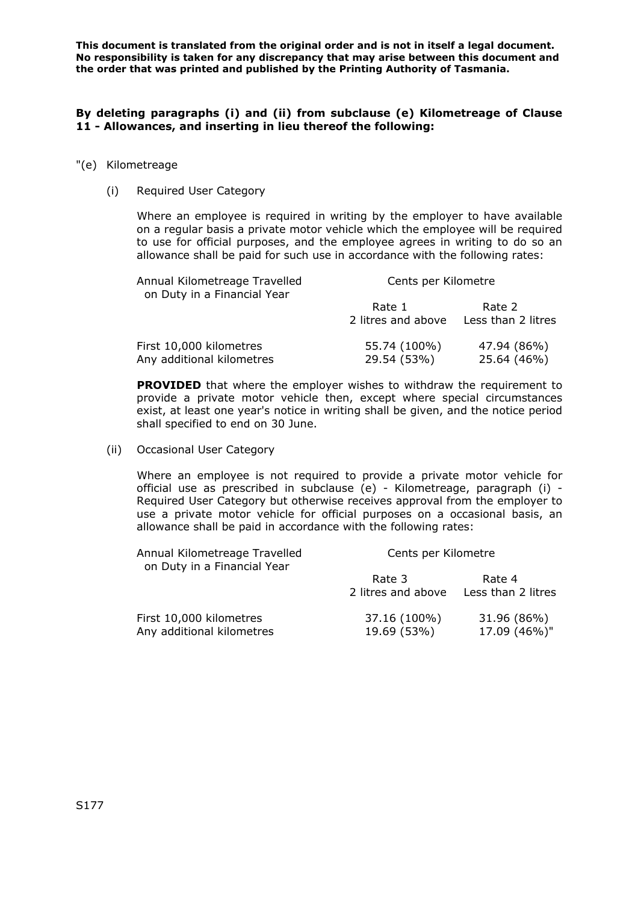**This document is translated from the original order and is not in itself a legal document. No responsibility is taken for any discrepancy that may arise between this document and the order that was printed and published by the Printing Authority of Tasmania.** 

### **By deleting paragraphs (i) and (ii) from subclause (e) Kilometreage of Clause 11 - Allowances, and inserting in lieu thereof the following:**

#### "(e) Kilometreage

(i) Required User Category

Where an employee is required in writing by the employer to have available on a regular basis a private motor vehicle which the employee will be required to use for official purposes, and the employee agrees in writing to do so an allowance shall be paid for such use in accordance with the following rates:

| Annual Kilometreage Travelled<br>on Duty in a Financial Year | Cents per Kilometre |                    |
|--------------------------------------------------------------|---------------------|--------------------|
|                                                              | Rate 1              | Rate 2             |
|                                                              | 2 litres and above  | Less than 2 litres |
| First 10,000 kilometres                                      | 55.74 (100%)        | 47.94 (86%)        |
| Any additional kilometres                                    | 29.54 (53%)         | 25.64 (46%)        |

**PROVIDED** that where the employer wishes to withdraw the requirement to provide a private motor vehicle then, except where special circumstances exist, at least one year's notice in writing shall be given, and the notice period shall specified to end on 30 June.

(ii) Occasional User Category

Where an employee is not required to provide a private motor vehicle for official use as prescribed in subclause (e) - Kilometreage, paragraph (i) - Required User Category but otherwise receives approval from the employer to use a private motor vehicle for official purposes on a occasional basis, an allowance shall be paid in accordance with the following rates:

| Annual Kilometreage Travelled<br>on Duty in a Financial Year |                              | Cents per Kilometre          |  |
|--------------------------------------------------------------|------------------------------|------------------------------|--|
|                                                              | Rate 3<br>2 litres and above | Rate 4<br>Less than 2 litres |  |
| First 10,000 kilometres<br>Any additional kilometres         | 37.16 (100%)<br>19.69 (53%)  | 31.96 (86%)<br>17.09 (46%)"  |  |